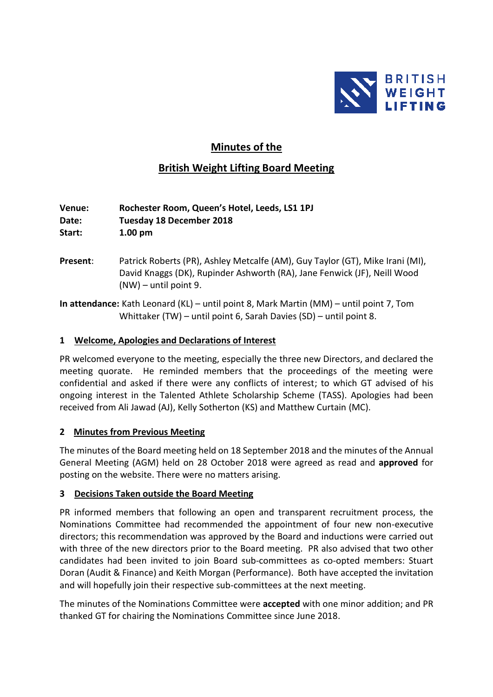

# **Minutes of the**

# **British Weight Lifting Board Meeting**

**Venue: Rochester Room, Queen's Hotel, Leeds, LS1 1PJ Date: Tuesday 18 December 2018 Start: 1.00 pm**

- **Present:** Patrick Roberts (PR), Ashley Metcalfe (AM), Guy Taylor (GT), Mike Irani (MI), David Knaggs (DK), Rupinder Ashworth (RA), Jane Fenwick (JF), Neill Wood (NW) – until point 9.
- **In attendance:** Kath Leonard (KL) until point 8, Mark Martin (MM) until point 7, Tom Whittaker (TW) – until point 6, Sarah Davies (SD) – until point 8.

#### **1 Welcome, Apologies and Declarations of Interest**

PR welcomed everyone to the meeting, especially the three new Directors, and declared the meeting quorate. He reminded members that the proceedings of the meeting were confidential and asked if there were any conflicts of interest; to which GT advised of his ongoing interest in the Talented Athlete Scholarship Scheme (TASS). Apologies had been received from Ali Jawad (AJ), Kelly Sotherton (KS) and Matthew Curtain (MC).

#### **2 Minutes from Previous Meeting**

The minutes of the Board meeting held on 18 September 2018 and the minutes of the Annual General Meeting (AGM) held on 28 October 2018 were agreed as read and **approved** for posting on the website. There were no matters arising.

### **3 Decisions Taken outside the Board Meeting**

PR informed members that following an open and transparent recruitment process, the Nominations Committee had recommended the appointment of four new non-executive directors; this recommendation was approved by the Board and inductions were carried out with three of the new directors prior to the Board meeting. PR also advised that two other candidates had been invited to join Board sub-committees as co-opted members: Stuart Doran (Audit & Finance) and Keith Morgan (Performance). Both have accepted the invitation and will hopefully join their respective sub-committees at the next meeting.

The minutes of the Nominations Committee were **accepted** with one minor addition; and PR thanked GT for chairing the Nominations Committee since June 2018.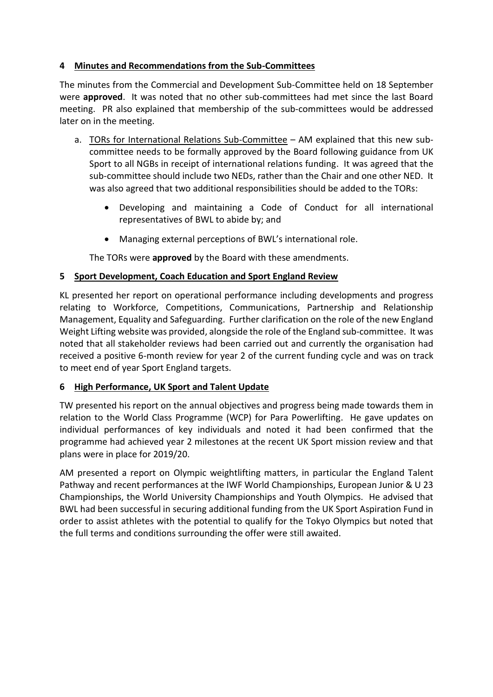### **4 Minutes and Recommendations from the Sub-Committees**

The minutes from the Commercial and Development Sub-Committee held on 18 September were **approved**. It was noted that no other sub-committees had met since the last Board meeting. PR also explained that membership of the sub-committees would be addressed later on in the meeting.

- a. TORs for International Relations Sub-Committee AM explained that this new subcommittee needs to be formally approved by the Board following guidance from UK Sport to all NGBs in receipt of international relations funding. It was agreed that the sub-committee should include two NEDs, rather than the Chair and one other NED. It was also agreed that two additional responsibilities should be added to the TORs:
	- Developing and maintaining a Code of Conduct for all international representatives of BWL to abide by; and
	- Managing external perceptions of BWL's international role.

The TORs were **approved** by the Board with these amendments.

# **5 Sport Development, Coach Education and Sport England Review**

KL presented her report on operational performance including developments and progress relating to Workforce, Competitions, Communications, Partnership and Relationship Management, Equality and Safeguarding. Further clarification on the role of the new England Weight Lifting website was provided, alongside the role of the England sub-committee. It was noted that all stakeholder reviews had been carried out and currently the organisation had received a positive 6-month review for year 2 of the current funding cycle and was on track to meet end of year Sport England targets.

### **6 High Performance, UK Sport and Talent Update**

TW presented his report on the annual objectives and progress being made towards them in relation to the World Class Programme (WCP) for Para Powerlifting. He gave updates on individual performances of key individuals and noted it had been confirmed that the programme had achieved year 2 milestones at the recent UK Sport mission review and that plans were in place for 2019/20.

AM presented a report on Olympic weightlifting matters, in particular the England Talent Pathway and recent performances at the IWF World Championships, European Junior & U 23 Championships, the World University Championships and Youth Olympics. He advised that BWL had been successful in securing additional funding from the UK Sport Aspiration Fund in order to assist athletes with the potential to qualify for the Tokyo Olympics but noted that the full terms and conditions surrounding the offer were still awaited.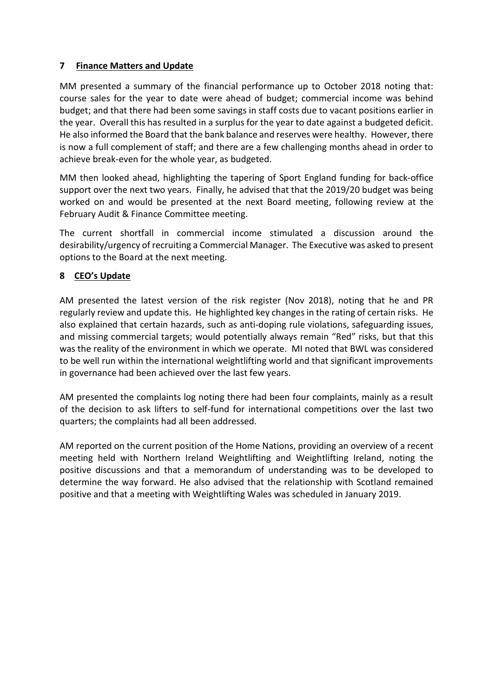## **7 Finance Matters and Update**

MM presented a summary of the financial performance up to October 2018 noting that: course sales for the year to date were ahead of budget; commercial income was behind budget; and that there had been some savings in staff costs due to vacant positions earlier in the year. Overall this has resulted in a surplus for the year to date against a budgeted deficit. He also informed the Board that the bank balance and reserves were healthy. However, there is now a full complement of staff; and there are a few challenging months ahead in order to achieve break-even for the whole year, as budgeted.

MM then looked ahead, highlighting the tapering of Sport England funding for back-office support over the next two years. Finally, he advised that that the 2019/20 budget was being worked on and would be presented at the next Board meeting, following review at the February Audit & Finance Committee meeting.

The current shortfall in commercial income stimulated a discussion around the desirability/urgency of recruiting a Commercial Manager. The Executive was asked to present options to the Board at the next meeting.

# **8 CEO's Update**

AM presented the latest version of the risk register (Nov 2018), noting that he and PR regularly review and update this. He highlighted key changes in the rating of certain risks. He also explained that certain hazards, such as anti-doping rule violations, safeguarding issues, and missing commercial targets; would potentially always remain "Red" risks, but that this was the reality of the environment in which we operate. MI noted that BWL was considered to be well run within the international weightlifting world and that significant improvements in governance had been achieved over the last few years.

AM presented the complaints log noting there had been four complaints, mainly as a result of the decision to ask lifters to self-fund for international competitions over the last two quarters; the complaints had all been addressed.

AM reported on the current position of the Home Nations, providing an overview of a recent meeting held with Northern Ireland Weightlifting and Weightlifting Ireland, noting the positive discussions and that a memorandum of understanding was to be developed to determine the way forward. He also advised that the relationship with Scotland remained positive and that a meeting with Weightlifting Wales was scheduled in January 2019.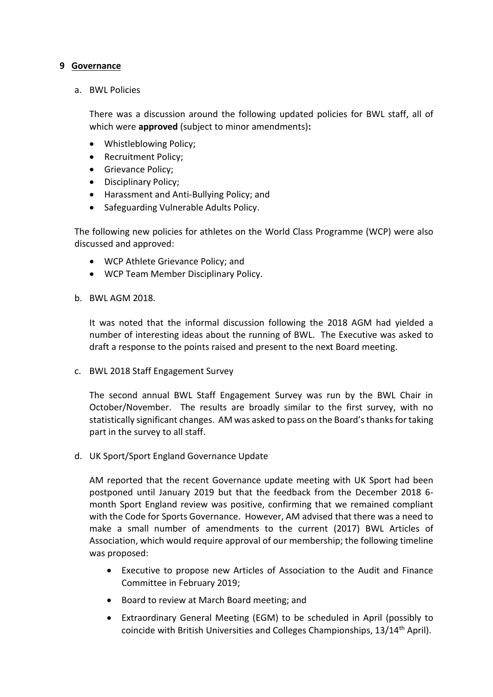#### **9 Governance**

a. BWL Policies

There was a discussion around the following updated policies for BWL staff, all of which were **approved** (subject to minor amendments)**:**

- Whistleblowing Policy;
- Recruitment Policy;
- Grievance Policy;
- Disciplinary Policy;
- Harassment and Anti-Bullying Policy; and
- Safeguarding Vulnerable Adults Policy.

The following new policies for athletes on the World Class Programme (WCP) were also discussed and approved:

- WCP Athlete Grievance Policy; and
- WCP Team Member Disciplinary Policy.
- b. BWL AGM 2018.

It was noted that the informal discussion following the 2018 AGM had yielded a number of interesting ideas about the running of BWL. The Executive was asked to draft a response to the points raised and present to the next Board meeting.

c. BWL 2018 Staff Engagement Survey

The second annual BWL Staff Engagement Survey was run by the BWL Chair in October/November. The results are broadly similar to the first survey, with no statistically significant changes. AM was asked to pass on the Board's thanks for taking part in the survey to all staff.

d. UK Sport/Sport England Governance Update

AM reported that the recent Governance update meeting with UK Sport had been postponed until January 2019 but that the feedback from the December 2018 6 month Sport England review was positive, confirming that we remained compliant with the Code for Sports Governance. However, AM advised that there was a need to make a small number of amendments to the current (2017) BWL Articles of Association, which would require approval of our membership; the following timeline was proposed:

- Executive to propose new Articles of Association to the Audit and Finance Committee in February 2019;
- Board to review at March Board meeting; and
- Extraordinary General Meeting (EGM) to be scheduled in April (possibly to coincide with British Universities and Colleges Championships, 13/14<sup>th</sup> April).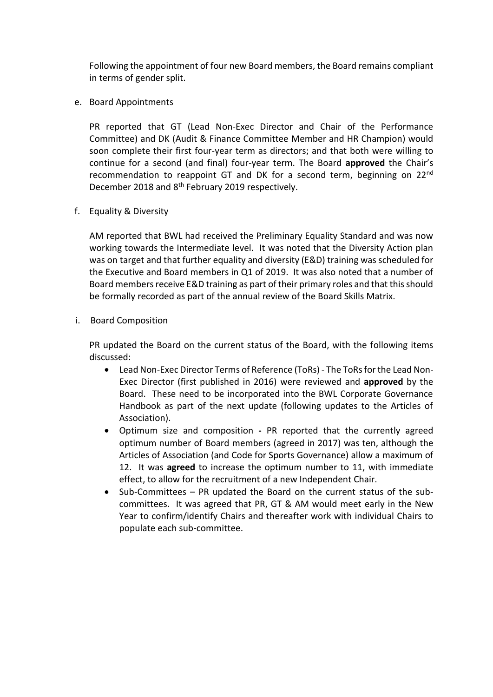Following the appointment of four new Board members, the Board remains compliant in terms of gender split.

e. Board Appointments

PR reported that GT (Lead Non-Exec Director and Chair of the Performance Committee) and DK (Audit & Finance Committee Member and HR Champion) would soon complete their first four-year term as directors; and that both were willing to continue for a second (and final) four-year term. The Board **approved** the Chair's recommendation to reappoint GT and DK for a second term, beginning on 22nd December 2018 and 8<sup>th</sup> February 2019 respectively.

f. Equality & Diversity

AM reported that BWL had received the Preliminary Equality Standard and was now working towards the Intermediate level. It was noted that the Diversity Action plan was on target and that further equality and diversity (E&D) training was scheduled for the Executive and Board members in Q1 of 2019. It was also noted that a number of Board members receive E&D training as part of their primary roles and that this should be formally recorded as part of the annual review of the Board Skills Matrix.

i. Board Composition

PR updated the Board on the current status of the Board, with the following items discussed:

- Lead Non-Exec Director Terms of Reference (ToRs) The ToRs for the Lead Non-Exec Director (first published in 2016) were reviewed and **approved** by the Board. These need to be incorporated into the BWL Corporate Governance Handbook as part of the next update (following updates to the Articles of Association).
- Optimum size and composition **-** PR reported that the currently agreed optimum number of Board members (agreed in 2017) was ten, although the Articles of Association (and Code for Sports Governance) allow a maximum of 12. It was **agreed** to increase the optimum number to 11, with immediate effect, to allow for the recruitment of a new Independent Chair.
- Sub-Committees PR updated the Board on the current status of the subcommittees. It was agreed that PR, GT & AM would meet early in the New Year to confirm/identify Chairs and thereafter work with individual Chairs to populate each sub-committee.